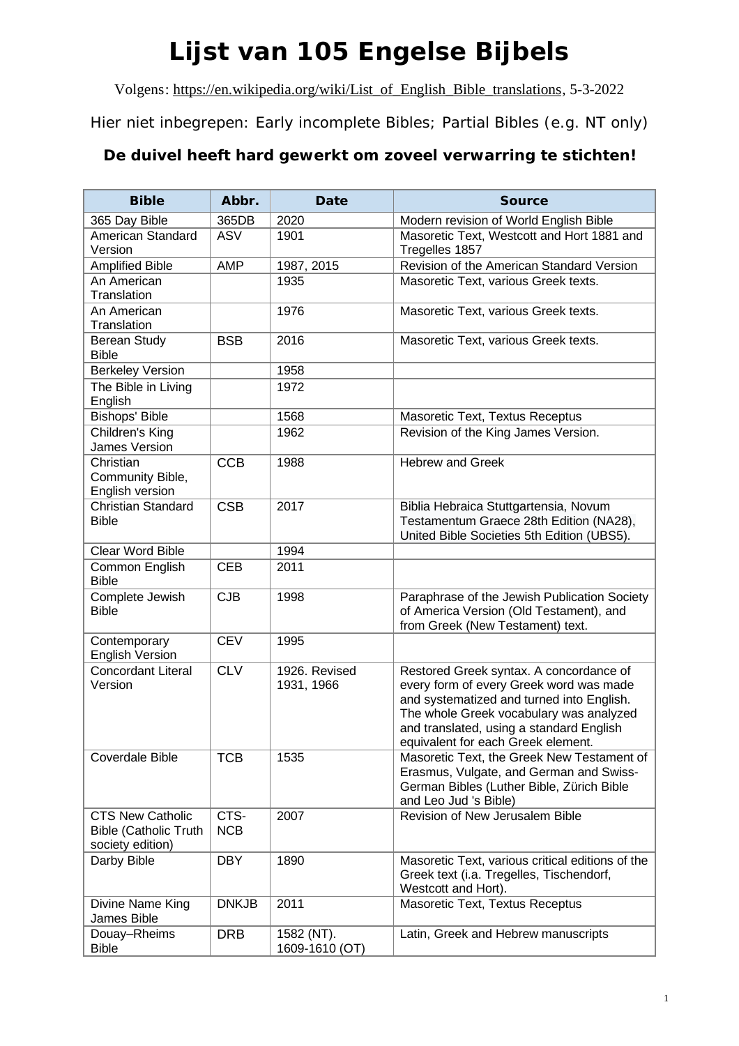## **Lijst van 105 Engelse Bijbels**

Volgens: [https://en.wikipedia.org/wiki/List\\_of\\_English\\_Bible\\_translations](https://en.wikipedia.org/wiki/List_of_English_Bible_translations), 5-3-2022

Hier niet inbegrepen: Early incomplete Bibles; Partial Bibles (e.g. NT only)

## **De duivel heeft hard gewerkt om zoveel verwarring te stichten!**

| <b>Bible</b>                                                         | Abbr.              | Date                         | <b>Source</b>                                                                                                                                                                                                                                                |
|----------------------------------------------------------------------|--------------------|------------------------------|--------------------------------------------------------------------------------------------------------------------------------------------------------------------------------------------------------------------------------------------------------------|
| 365 Day Bible                                                        | 365DB              | 2020                         | Modern revision of World English Bible                                                                                                                                                                                                                       |
| <b>American Standard</b><br>Version                                  | <b>ASV</b>         | 1901                         | Masoretic Text, Westcott and Hort 1881 and<br>Tregelles 1857                                                                                                                                                                                                 |
| <b>Amplified Bible</b>                                               | AMP                | 1987, 2015                   | Revision of the American Standard Version                                                                                                                                                                                                                    |
| An American<br>Translation                                           |                    | 1935                         | Masoretic Text, various Greek texts.                                                                                                                                                                                                                         |
| An American                                                          |                    | 1976                         | Masoretic Text, various Greek texts.                                                                                                                                                                                                                         |
| Translation                                                          |                    |                              |                                                                                                                                                                                                                                                              |
| <b>Berean Study</b><br><b>Bible</b>                                  | <b>BSB</b>         | 2016                         | Masoretic Text, various Greek texts.                                                                                                                                                                                                                         |
| <b>Berkeley Version</b>                                              |                    | 1958                         |                                                                                                                                                                                                                                                              |
| The Bible in Living<br>English                                       |                    | 1972                         |                                                                                                                                                                                                                                                              |
| Bishops' Bible                                                       |                    | 1568                         | Masoretic Text, Textus Receptus                                                                                                                                                                                                                              |
| Children's King<br><b>James Version</b>                              |                    | 1962                         | Revision of the King James Version.                                                                                                                                                                                                                          |
| Christian<br>Community Bible,<br>English version                     | <b>CCB</b>         | 1988                         | <b>Hebrew and Greek</b>                                                                                                                                                                                                                                      |
| <b>Christian Standard</b><br><b>Bible</b>                            | <b>CSB</b>         | 2017                         | Biblia Hebraica Stuttgartensia, Novum<br>Testamentum Graece 28th Edition (NA28),<br>United Bible Societies 5th Edition (UBS5).                                                                                                                               |
| Clear Word Bible                                                     |                    | 1994                         |                                                                                                                                                                                                                                                              |
| Common English<br><b>Bible</b>                                       | <b>CEB</b>         | 2011                         |                                                                                                                                                                                                                                                              |
| Complete Jewish<br><b>Bible</b>                                      | CJB                | 1998                         | Paraphrase of the Jewish Publication Society<br>of America Version (Old Testament), and<br>from Greek (New Testament) text.                                                                                                                                  |
| Contemporary<br><b>English Version</b>                               | <b>CEV</b>         | 1995                         |                                                                                                                                                                                                                                                              |
| <b>Concordant Literal</b><br>Version                                 | <b>CLV</b>         | 1926. Revised<br>1931, 1966  | Restored Greek syntax. A concordance of<br>every form of every Greek word was made<br>and systematized and turned into English.<br>The whole Greek vocabulary was analyzed<br>and translated, using a standard English<br>equivalent for each Greek element. |
| <b>Coverdale Bible</b>                                               | <b>TCB</b>         | 1535                         | Masoretic Text, the Greek New Testament of<br>Erasmus, Vulgate, and German and Swiss-<br>German Bibles (Luther Bible, Zürich Bible<br>and Leo Jud 's Bible)                                                                                                  |
| CTS New Catholic<br><b>Bible (Catholic Truth</b><br>society edition) | CTS-<br><b>NCB</b> | 2007                         | Revision of New Jerusalem Bible                                                                                                                                                                                                                              |
| Darby Bible                                                          | <b>DBY</b>         | 1890                         | Masoretic Text, various critical editions of the<br>Greek text (i.a. Tregelles, Tischendorf,<br>Westcott and Hort).                                                                                                                                          |
| Divine Name King<br>James Bible                                      | <b>DNKJB</b>       | 2011                         | Masoretic Text, Textus Receptus                                                                                                                                                                                                                              |
| Douay-Rheims<br><b>Bible</b>                                         | <b>DRB</b>         | 1582 (NT).<br>1609-1610 (OT) | Latin, Greek and Hebrew manuscripts                                                                                                                                                                                                                          |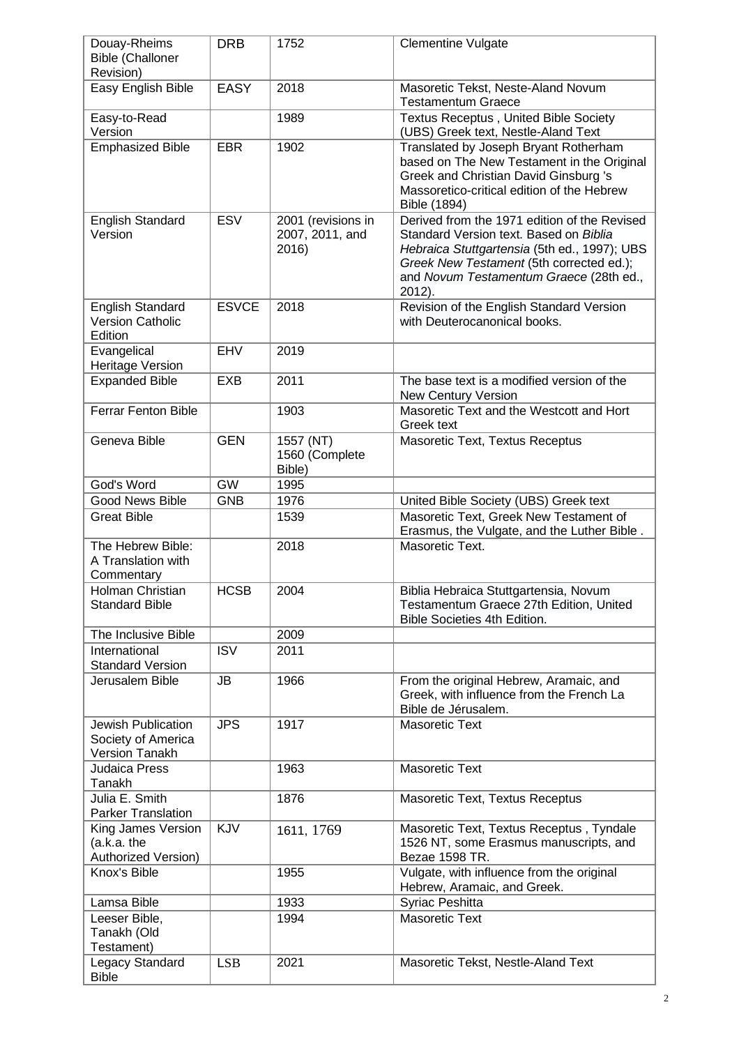| Douay-Rheims<br><b>Bible (Challoner</b>                           | <b>DRB</b>   | 1752                                           | <b>Clementine Vulgate</b>                                                                                                                                                                                                               |
|-------------------------------------------------------------------|--------------|------------------------------------------------|-----------------------------------------------------------------------------------------------------------------------------------------------------------------------------------------------------------------------------------------|
| Revision)<br>Easy English Bible                                   | <b>EASY</b>  | 2018                                           | Masoretic Tekst, Neste-Aland Novum<br><b>Testamentum Graece</b>                                                                                                                                                                         |
| Easy-to-Read<br>Version                                           |              | 1989                                           | <b>Textus Receptus, United Bible Society</b><br>(UBS) Greek text, Nestle-Aland Text                                                                                                                                                     |
| <b>Emphasized Bible</b>                                           | <b>EBR</b>   | 1902                                           | Translated by Joseph Bryant Rotherham<br>based on The New Testament in the Original<br>Greek and Christian David Ginsburg 's<br>Massoretico-critical edition of the Hebrew<br>Bible (1894)                                              |
| English Standard<br>Version                                       | <b>ESV</b>   | 2001 (revisions in<br>2007, 2011, and<br>2016) | Derived from the 1971 edition of the Revised<br>Standard Version text. Based on Biblia<br>Hebraica Stuttgartensia (5th ed., 1997); UBS<br>Greek New Testament (5th corrected ed.);<br>and Novum Testamentum Graece (28th ed.,<br>2012). |
| <b>English Standard</b><br><b>Version Catholic</b><br>Edition     | <b>ESVCE</b> | 2018                                           | Revision of the English Standard Version<br>with Deuterocanonical books.                                                                                                                                                                |
| Evangelical<br>Heritage Version                                   | EHV          | 2019                                           |                                                                                                                                                                                                                                         |
| <b>Expanded Bible</b>                                             | <b>EXB</b>   | 2011                                           | The base text is a modified version of the<br><b>New Century Version</b>                                                                                                                                                                |
| <b>Ferrar Fenton Bible</b>                                        |              | 1903                                           | Masoretic Text and the Westcott and Hort<br>Greek text                                                                                                                                                                                  |
| Geneva Bible                                                      | <b>GEN</b>   | 1557 (NT)<br>1560 (Complete<br>Bible)          | Masoretic Text, Textus Receptus                                                                                                                                                                                                         |
| God's Word                                                        | <b>GW</b>    | 1995                                           |                                                                                                                                                                                                                                         |
| <b>Good News Bible</b>                                            | <b>GNB</b>   | 1976                                           | United Bible Society (UBS) Greek text                                                                                                                                                                                                   |
| <b>Great Bible</b>                                                |              | 1539                                           | Masoretic Text, Greek New Testament of<br>Erasmus, the Vulgate, and the Luther Bible.                                                                                                                                                   |
| The Hebrew Bible:<br>A Translation with<br>Commentary             |              | 2018                                           | Masoretic Text.                                                                                                                                                                                                                         |
| <b>Holman Christian</b><br><b>Standard Bible</b>                  | <b>HCSB</b>  | 2004                                           | Biblia Hebraica Stuttgartensia, Novum<br>Testamentum Graece 27th Edition, United<br>Bible Societies 4th Edition.                                                                                                                        |
| The Inclusive Bible                                               |              | 2009                                           |                                                                                                                                                                                                                                         |
| International<br><b>Standard Version</b>                          | <b>ISV</b>   | 2011                                           |                                                                                                                                                                                                                                         |
| Jerusalem Bible                                                   | <b>JB</b>    | 1966                                           | From the original Hebrew, Aramaic, and<br>Greek, with influence from the French La<br>Bible de Jérusalem.                                                                                                                               |
| Jewish Publication<br>Society of America<br><b>Version Tanakh</b> | <b>JPS</b>   | 1917                                           | <b>Masoretic Text</b>                                                                                                                                                                                                                   |
| <b>Judaica Press</b><br>Tanakh                                    |              | 1963                                           | <b>Masoretic Text</b>                                                                                                                                                                                                                   |
| Julia E. Smith<br><b>Parker Translation</b>                       |              | 1876                                           | Masoretic Text, Textus Receptus                                                                                                                                                                                                         |
| King James Version<br>(a.k.a. the<br>Authorized Version)          | KJV          | 1611, 1769                                     | Masoretic Text, Textus Receptus, Tyndale<br>1526 NT, some Erasmus manuscripts, and<br>Bezae 1598 TR.                                                                                                                                    |
| Knox's Bible                                                      |              | 1955                                           | Vulgate, with influence from the original<br>Hebrew, Aramaic, and Greek.                                                                                                                                                                |
| Lamsa Bible                                                       |              | 1933                                           | Syriac Peshitta                                                                                                                                                                                                                         |
| Leeser Bible,<br>Tanakh (Old<br>Testament)                        |              | 1994                                           | <b>Masoretic Text</b>                                                                                                                                                                                                                   |
| Legacy Standard<br><b>Bible</b>                                   | <b>LSB</b>   | 2021                                           | Masoretic Tekst, Nestle-Aland Text                                                                                                                                                                                                      |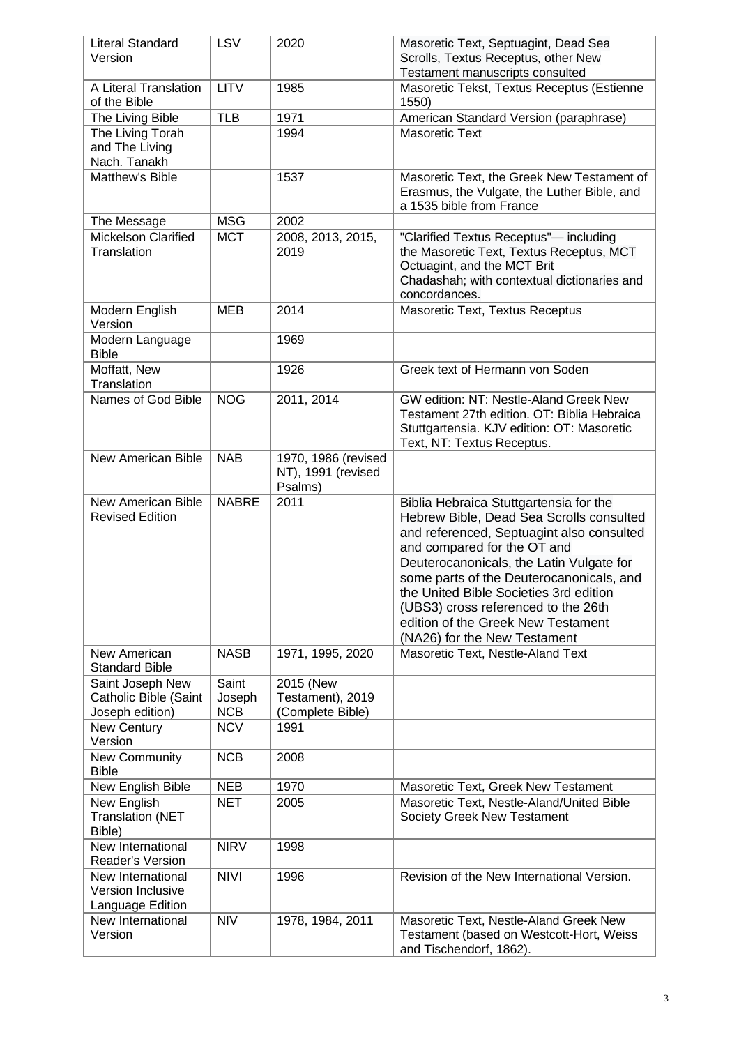| Literal Standard<br>Version                                         | <b>LSV</b>                    | 2020                                                 | Masoretic Text, Septuagint, Dead Sea<br>Scrolls, Textus Receptus, other New<br>Testament manuscripts consulted                                                                                                                                                                                                                                                                                                |
|---------------------------------------------------------------------|-------------------------------|------------------------------------------------------|---------------------------------------------------------------------------------------------------------------------------------------------------------------------------------------------------------------------------------------------------------------------------------------------------------------------------------------------------------------------------------------------------------------|
| A Literal Translation<br>of the Bible                               | <b>LITV</b>                   | 1985                                                 | Masoretic Tekst, Textus Receptus (Estienne<br>1550)                                                                                                                                                                                                                                                                                                                                                           |
| The Living Bible                                                    | <b>TLB</b>                    | 1971                                                 | American Standard Version (paraphrase)                                                                                                                                                                                                                                                                                                                                                                        |
| The Living Torah<br>and The Living<br>Nach. Tanakh                  |                               | 1994                                                 | <b>Masoretic Text</b>                                                                                                                                                                                                                                                                                                                                                                                         |
| Matthew's Bible                                                     |                               | 1537                                                 | Masoretic Text, the Greek New Testament of<br>Erasmus, the Vulgate, the Luther Bible, and<br>a 1535 bible from France                                                                                                                                                                                                                                                                                         |
| The Message                                                         | <b>MSG</b>                    | 2002                                                 |                                                                                                                                                                                                                                                                                                                                                                                                               |
| <b>Mickelson Clarified</b><br>Translation                           | <b>MCT</b>                    | 2008, 2013, 2015,<br>2019                            | "Clarified Textus Receptus"- including<br>the Masoretic Text, Textus Receptus, MCT<br>Octuagint, and the MCT Brit<br>Chadashah; with contextual dictionaries and<br>concordances.                                                                                                                                                                                                                             |
| Modern English<br>Version                                           | <b>MEB</b>                    | 2014                                                 | Masoretic Text, Textus Receptus                                                                                                                                                                                                                                                                                                                                                                               |
| Modern Language<br><b>Bible</b>                                     |                               | 1969                                                 |                                                                                                                                                                                                                                                                                                                                                                                                               |
| Moffatt, New<br>Translation                                         |                               | 1926                                                 | Greek text of Hermann von Soden                                                                                                                                                                                                                                                                                                                                                                               |
| Names of God Bible                                                  | <b>NOG</b>                    | 2011, 2014                                           | GW edition: NT: Nestle-Aland Greek New<br>Testament 27th edition. OT: Biblia Hebraica<br>Stuttgartensia. KJV edition: OT: Masoretic<br>Text, NT: Textus Receptus.                                                                                                                                                                                                                                             |
| New American Bible                                                  | <b>NAB</b>                    | 1970, 1986 (revised<br>NT), 1991 (revised<br>Psalms) |                                                                                                                                                                                                                                                                                                                                                                                                               |
| New American Bible<br><b>Revised Edition</b>                        | <b>NABRE</b>                  | 2011                                                 | Biblia Hebraica Stuttgartensia for the<br>Hebrew Bible, Dead Sea Scrolls consulted<br>and referenced, Septuagint also consulted<br>and compared for the OT and<br>Deuterocanonicals, the Latin Vulgate for<br>some parts of the Deuterocanonicals, and<br>the United Bible Societies 3rd edition<br>(UBS3) cross referenced to the 26th<br>edition of the Greek New Testament<br>(NA26) for the New Testament |
| New American<br><b>Standard Bible</b>                               | <b>NASB</b>                   | 1971, 1995, 2020                                     | Masoretic Text, Nestle-Aland Text                                                                                                                                                                                                                                                                                                                                                                             |
| Saint Joseph New<br><b>Catholic Bible (Saint</b><br>Joseph edition) | Saint<br>Joseph<br><b>NCB</b> | 2015 (New<br>Testament), 2019<br>(Complete Bible)    |                                                                                                                                                                                                                                                                                                                                                                                                               |
| New Century<br>Version                                              | <b>NCV</b>                    | 1991                                                 |                                                                                                                                                                                                                                                                                                                                                                                                               |
| New Community<br><b>Bible</b>                                       | <b>NCB</b>                    | 2008                                                 |                                                                                                                                                                                                                                                                                                                                                                                                               |
| New English Bible                                                   | <b>NEB</b>                    | 1970                                                 | Masoretic Text, Greek New Testament                                                                                                                                                                                                                                                                                                                                                                           |
| New English<br><b>Translation (NET</b><br>Bible)                    | <b>NET</b>                    | 2005                                                 | Masoretic Text, Nestle-Aland/United Bible<br>Society Greek New Testament                                                                                                                                                                                                                                                                                                                                      |
| New International<br><b>Reader's Version</b>                        | <b>NIRV</b>                   | 1998                                                 |                                                                                                                                                                                                                                                                                                                                                                                                               |
| New International<br>Version Inclusive<br>Language Edition          | <b>NIVI</b>                   | 1996                                                 | Revision of the New International Version.                                                                                                                                                                                                                                                                                                                                                                    |
| New International<br>Version                                        | <b>NIV</b>                    | 1978, 1984, 2011                                     | Masoretic Text, Nestle-Aland Greek New<br>Testament (based on Westcott-Hort, Weiss<br>and Tischendorf, 1862).                                                                                                                                                                                                                                                                                                 |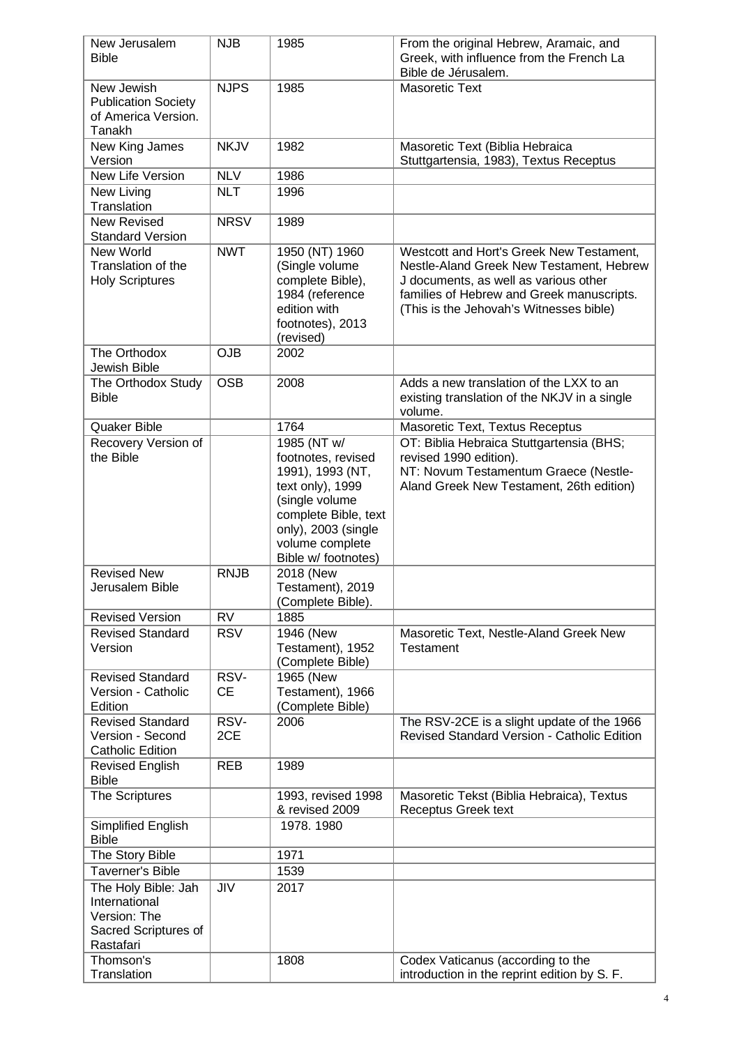| New Jerusalem<br><b>Bible</b>                                                             | <b>NJB</b>        | 1985                                                                                                                                                                                 | From the original Hebrew, Aramaic, and<br>Greek, with influence from the French La<br>Bible de Jérusalem.                                                                                                             |
|-------------------------------------------------------------------------------------------|-------------------|--------------------------------------------------------------------------------------------------------------------------------------------------------------------------------------|-----------------------------------------------------------------------------------------------------------------------------------------------------------------------------------------------------------------------|
| New Jewish<br><b>Publication Society</b><br>of America Version.<br>Tanakh                 | <b>NJPS</b>       | 1985                                                                                                                                                                                 | <b>Masoretic Text</b>                                                                                                                                                                                                 |
| New King James<br>Version                                                                 | <b>NKJV</b>       | 1982                                                                                                                                                                                 | Masoretic Text (Biblia Hebraica<br>Stuttgartensia, 1983), Textus Receptus                                                                                                                                             |
| New Life Version                                                                          | <b>NLV</b>        | 1986                                                                                                                                                                                 |                                                                                                                                                                                                                       |
| New Living<br>Translation                                                                 | <b>NLT</b>        | 1996                                                                                                                                                                                 |                                                                                                                                                                                                                       |
| <b>New Revised</b><br><b>Standard Version</b>                                             | <b>NRSV</b>       | 1989                                                                                                                                                                                 |                                                                                                                                                                                                                       |
| New World<br>Translation of the<br><b>Holy Scriptures</b>                                 | <b>NWT</b>        | 1950 (NT) 1960<br>(Single volume<br>complete Bible),<br>1984 (reference<br>edition with<br>footnotes), 2013<br>(revised)                                                             | Westcott and Hort's Greek New Testament,<br>Nestle-Aland Greek New Testament, Hebrew<br>J documents, as well as various other<br>families of Hebrew and Greek manuscripts.<br>(This is the Jehovah's Witnesses bible) |
| The Orthodox<br>Jewish Bible                                                              | <b>OJB</b>        | 2002                                                                                                                                                                                 |                                                                                                                                                                                                                       |
| The Orthodox Study<br><b>Bible</b>                                                        | <b>OSB</b>        | 2008                                                                                                                                                                                 | Adds a new translation of the LXX to an<br>existing translation of the NKJV in a single<br>volume.                                                                                                                    |
| Quaker Bible                                                                              |                   | 1764                                                                                                                                                                                 | Masoretic Text, Textus Receptus                                                                                                                                                                                       |
| Recovery Version of<br>the Bible                                                          |                   | 1985 (NT w/<br>footnotes, revised<br>1991), 1993 (NT,<br>text only), 1999<br>(single volume<br>complete Bible, text<br>only), 2003 (single<br>volume complete<br>Bible w/ footnotes) | OT: Biblia Hebraica Stuttgartensia (BHS;<br>revised 1990 edition).<br>NT: Novum Testamentum Graece (Nestle-<br>Aland Greek New Testament, 26th edition)                                                               |
| <b>Revised New</b><br>Jerusalem Bible                                                     | <b>RNJB</b>       | 2018 (New<br>Testament), 2019<br>(Complete Bible).                                                                                                                                   |                                                                                                                                                                                                                       |
| <b>Revised Version</b>                                                                    | <b>RV</b>         | 1885                                                                                                                                                                                 |                                                                                                                                                                                                                       |
| <b>Revised Standard</b><br>Version                                                        | <b>RSV</b>        | 1946 (New<br>Testament), 1952<br>(Complete Bible)                                                                                                                                    | Masoretic Text, Nestle-Aland Greek New<br><b>Testament</b>                                                                                                                                                            |
| <b>Revised Standard</b><br>Version - Catholic<br>Edition                                  | RSV-<br><b>CE</b> | 1965 (New<br>Testament), 1966<br>(Complete Bible)                                                                                                                                    |                                                                                                                                                                                                                       |
| <b>Revised Standard</b><br>Version - Second<br><b>Catholic Edition</b>                    | RSV-<br>2CE       | 2006                                                                                                                                                                                 | The RSV-2CE is a slight update of the 1966<br><b>Revised Standard Version - Catholic Edition</b>                                                                                                                      |
| <b>Revised English</b><br><b>Bible</b>                                                    | <b>REB</b>        | 1989                                                                                                                                                                                 |                                                                                                                                                                                                                       |
| The Scriptures                                                                            |                   | 1993, revised 1998<br>& revised 2009                                                                                                                                                 | Masoretic Tekst (Biblia Hebraica), Textus<br>Receptus Greek text                                                                                                                                                      |
| Simplified English<br><b>Bible</b>                                                        |                   | 1978. 1980                                                                                                                                                                           |                                                                                                                                                                                                                       |
| The Story Bible                                                                           |                   | 1971                                                                                                                                                                                 |                                                                                                                                                                                                                       |
| <b>Taverner's Bible</b>                                                                   |                   | 1539                                                                                                                                                                                 |                                                                                                                                                                                                                       |
| The Holy Bible: Jah<br>International<br>Version: The<br>Sacred Scriptures of<br>Rastafari | <b>JIV</b>        | 2017                                                                                                                                                                                 |                                                                                                                                                                                                                       |
| Thomson's<br>Translation                                                                  |                   | 1808                                                                                                                                                                                 | Codex Vaticanus (according to the<br>introduction in the reprint edition by S. F.                                                                                                                                     |